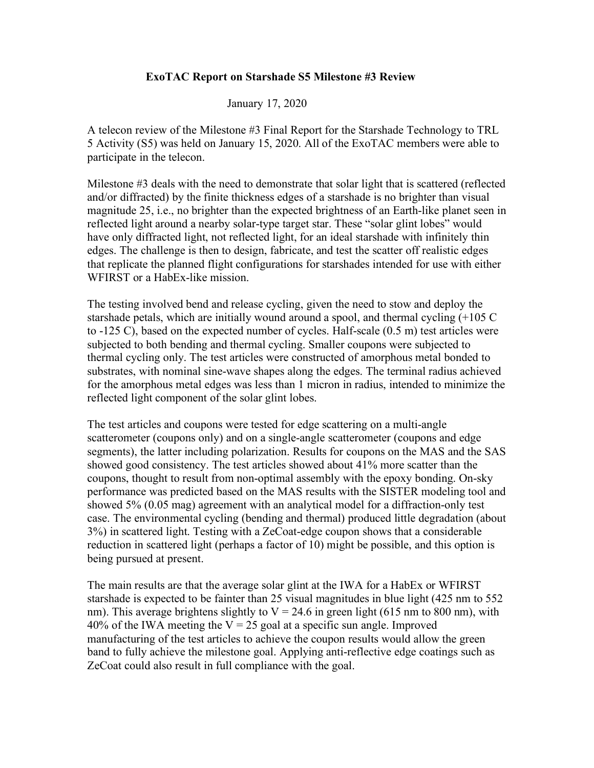#### **ExoTAC Report on Starshade S5 Milestone #3 Review**

#### January 17, 2020

A telecon review of the Milestone #3 Final Report for the Starshade Technology to TRL 5 Activity (S5) was held on January 15, 2020. All of the ExoTAC members were able to participate in the telecon.

Milestone #3 deals with the need to demonstrate that solar light that is scattered (reflected and/or diffracted) by the finite thickness edges of a starshade is no brighter than visual magnitude 25, i.e., no brighter than the expected brightness of an Earth-like planet seen in reflected light around a nearby solar-type target star. These "solar glint lobes" would have only diffracted light, not reflected light, for an ideal starshade with infinitely thin edges. The challenge is then to design, fabricate, and test the scatter off realistic edges that replicate the planned flight configurations for starshades intended for use with either WFIRST or a HabEx-like mission.

The testing involved bend and release cycling, given the need to stow and deploy the starshade petals, which are initially wound around a spool, and thermal cycling (+105 C to -125 C), based on the expected number of cycles. Half-scale (0.5 m) test articles were subjected to both bending and thermal cycling. Smaller coupons were subjected to thermal cycling only. The test articles were constructed of amorphous metal bonded to substrates, with nominal sine-wave shapes along the edges. The terminal radius achieved for the amorphous metal edges was less than 1 micron in radius, intended to minimize the reflected light component of the solar glint lobes.

The test articles and coupons were tested for edge scattering on a multi-angle scatterometer (coupons only) and on a single-angle scatterometer (coupons and edge segments), the latter including polarization. Results for coupons on the MAS and the SAS showed good consistency. The test articles showed about 41% more scatter than the coupons, thought to result from non-optimal assembly with the epoxy bonding. On-sky performance was predicted based on the MAS results with the SISTER modeling tool and showed 5% (0.05 mag) agreement with an analytical model for a diffraction-only test case. The environmental cycling (bending and thermal) produced little degradation (about 3%) in scattered light. Testing with a ZeCoat-edge coupon shows that a considerable reduction in scattered light (perhaps a factor of 10) might be possible, and this option is being pursued at present.

The main results are that the average solar glint at the IWA for a HabEx or WFIRST starshade is expected to be fainter than 25 visual magnitudes in blue light (425 nm to 552 nm). This average brightens slightly to  $V = 24.6$  in green light (615 nm to 800 nm), with 40% of the IWA meeting the  $V = 25$  goal at a specific sun angle. Improved manufacturing of the test articles to achieve the coupon results would allow the green band to fully achieve the milestone goal. Applying anti-reflective edge coatings such as ZeCoat could also result in full compliance with the goal.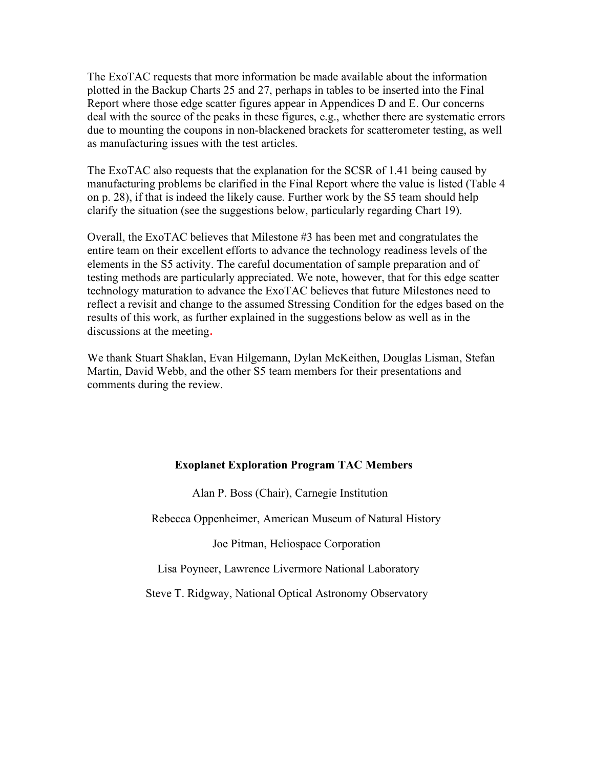The ExoTAC requests that more information be made available about the information plotted in the Backup Charts 25 and 27, perhaps in tables to be inserted into the Final Report where those edge scatter figures appear in Appendices D and E. Our concerns deal with the source of the peaks in these figures, e.g., whether there are systematic errors due to mounting the coupons in non-blackened brackets for scatterometer testing, as well as manufacturing issues with the test articles.

The ExoTAC also requests that the explanation for the SCSR of 1.41 being caused by manufacturing problems be clarified in the Final Report where the value is listed (Table 4 on p. 28), if that is indeed the likely cause. Further work by the S5 team should help clarify the situation (see the suggestions below, particularly regarding Chart 19).

Overall, the ExoTAC believes that Milestone #3 has been met and congratulates the entire team on their excellent efforts to advance the technology readiness levels of the elements in the S5 activity. The careful documentation of sample preparation and of testing methods are particularly appreciated. We note, however, that for this edge scatter technology maturation to advance the ExoTAC believes that future Milestones need to reflect a revisit and change to the assumed Stressing Condition for the edges based on the results of this work, as further explained in the suggestions below as well as in the discussions at the meeting.

We thank Stuart Shaklan, Evan Hilgemann, Dylan McKeithen, Douglas Lisman, Stefan Martin, David Webb, and the other S5 team members for their presentations and comments during the review.

#### **Exoplanet Exploration Program TAC Members**

Alan P. Boss (Chair), Carnegie Institution

Rebecca Oppenheimer, American Museum of Natural History

Joe Pitman, Heliospace Corporation

Lisa Poyneer, Lawrence Livermore National Laboratory

Steve T. Ridgway, National Optical Astronomy Observatory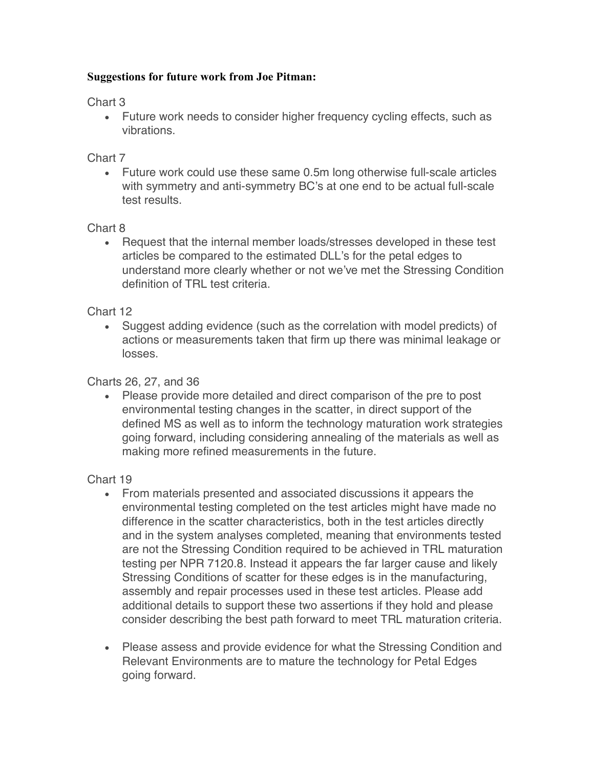## **Suggestions for future work from Joe Pitman:**

Chart 3

• Future work needs to consider higher frequency cycling effects, such as vibrations.

### Chart 7

• Future work could use these same 0.5m long otherwise full-scale articles with symmetry and anti-symmetry BC's at one end to be actual full-scale test results.

## Chart 8

• Request that the internal member loads/stresses developed in these test articles be compared to the estimated DLL's for the petal edges to understand more clearly whether or not we've met the Stressing Condition definition of TRL test criteria.

## Chart 12

• Suggest adding evidence (such as the correlation with model predicts) of actions or measurements taken that firm up there was minimal leakage or losses.

# Charts 26, 27, and 36

• Please provide more detailed and direct comparison of the pre to post environmental testing changes in the scatter, in direct support of the defined MS as well as to inform the technology maturation work strategies going forward, including considering annealing of the materials as well as making more refined measurements in the future.

# Chart 19

- From materials presented and associated discussions it appears the environmental testing completed on the test articles might have made no difference in the scatter characteristics, both in the test articles directly and in the system analyses completed, meaning that environments tested are not the Stressing Condition required to be achieved in TRL maturation testing per NPR 7120.8. Instead it appears the far larger cause and likely Stressing Conditions of scatter for these edges is in the manufacturing, assembly and repair processes used in these test articles. Please add additional details to support these two assertions if they hold and please consider describing the best path forward to meet TRL maturation criteria.
- Please assess and provide evidence for what the Stressing Condition and Relevant Environments are to mature the technology for Petal Edges going forward.